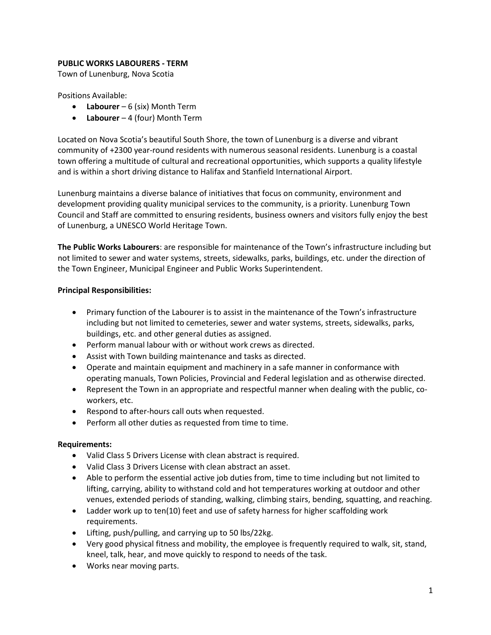## **PUBLIC WORKS LABOURERS - TERM**

Town of Lunenburg, Nova Scotia

Positions Available:

- **Labourer** 6 (six) Month Term
- **Labourer** 4 (four) Month Term

Located on Nova Scotia's beautiful South Shore, the town of Lunenburg is a diverse and vibrant community of +2300 year-round residents with numerous seasonal residents. Lunenburg is a coastal town offering a multitude of cultural and recreational opportunities, which supports a quality lifestyle and is within a short driving distance to Halifax and Stanfield International Airport.

Lunenburg maintains a diverse balance of initiatives that focus on community, environment and development providing quality municipal services to the community, is a priority. Lunenburg Town Council and Staff are committed to ensuring residents, business owners and visitors fully enjoy the best of Lunenburg, a UNESCO World Heritage Town.

**The Public Works Labourers**: are responsible for maintenance of the Town's infrastructure including but not limited to sewer and water systems, streets, sidewalks, parks, buildings, etc. under the direction of the Town Engineer, Municipal Engineer and Public Works Superintendent.

## **Principal Responsibilities:**

- Primary function of the Labourer is to assist in the maintenance of the Town's infrastructure including but not limited to cemeteries, sewer and water systems, streets, sidewalks, parks, buildings, etc. and other general duties as assigned.
- Perform manual labour with or without work crews as directed.
- Assist with Town building maintenance and tasks as directed.
- Operate and maintain equipment and machinery in a safe manner in conformance with operating manuals, Town Policies, Provincial and Federal legislation and as otherwise directed.
- Represent the Town in an appropriate and respectful manner when dealing with the public, coworkers, etc.
- Respond to after-hours call outs when requested.
- Perform all other duties as requested from time to time.

## **Requirements:**

- Valid Class 5 Drivers License with clean abstract is required.
- Valid Class 3 Drivers License with clean abstract an asset.
- Able to perform the essential active job duties from, time to time including but not limited to lifting, carrying, ability to withstand cold and hot temperatures working at outdoor and other venues, extended periods of standing, walking, climbing stairs, bending, squatting, and reaching.
- Ladder work up to ten(10) feet and use of safety harness for higher scaffolding work requirements.
- Lifting, push/pulling, and carrying up to 50 lbs/22kg.
- Very good physical fitness and mobility, the employee is frequently required to walk, sit, stand, kneel, talk, hear, and move quickly to respond to needs of the task.
- Works near moving parts.